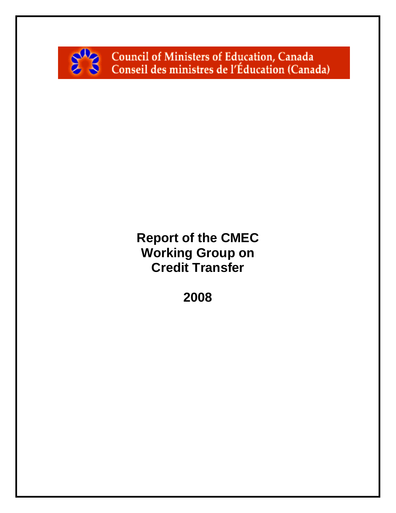

Council of Ministers of Education, Canada<br>Conseil des ministres de l'Éducation (Canada)

# **Report of the CMEC Working Group on Credit Transfer**

**2008**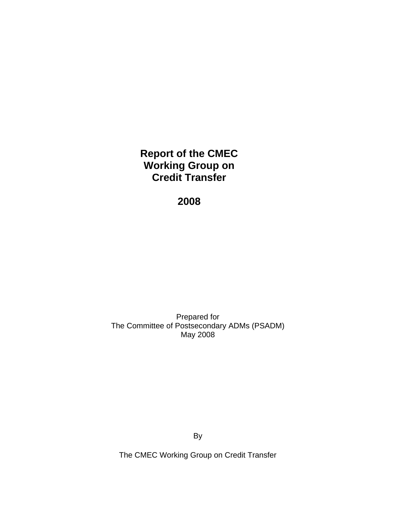**Report of the CMEC Working Group on Credit Transfer** 

**2008** 

Prepared for The Committee of Postsecondary ADMs (PSADM) May 2008

By

The CMEC Working Group on Credit Transfer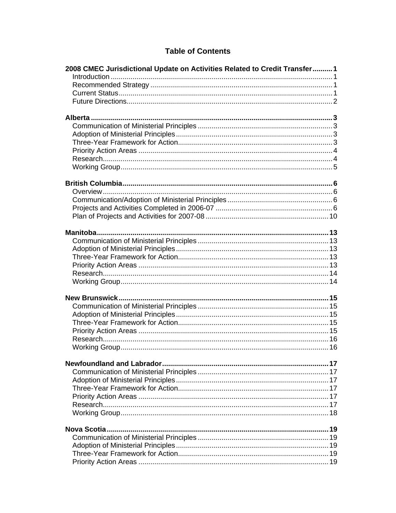### **Table of Contents**

| 2008 CMEC Jurisdictional Update on Activities Related to Credit Transfer1 |  |
|---------------------------------------------------------------------------|--|
|                                                                           |  |
|                                                                           |  |
|                                                                           |  |
|                                                                           |  |
|                                                                           |  |
|                                                                           |  |
|                                                                           |  |
|                                                                           |  |
|                                                                           |  |
|                                                                           |  |
|                                                                           |  |
|                                                                           |  |
|                                                                           |  |
|                                                                           |  |
|                                                                           |  |
|                                                                           |  |
|                                                                           |  |
|                                                                           |  |
|                                                                           |  |
|                                                                           |  |
|                                                                           |  |
|                                                                           |  |
|                                                                           |  |
|                                                                           |  |
|                                                                           |  |
|                                                                           |  |
|                                                                           |  |
|                                                                           |  |
|                                                                           |  |
|                                                                           |  |
|                                                                           |  |
|                                                                           |  |
|                                                                           |  |
|                                                                           |  |
|                                                                           |  |
|                                                                           |  |
|                                                                           |  |
|                                                                           |  |
|                                                                           |  |
|                                                                           |  |
|                                                                           |  |
|                                                                           |  |
|                                                                           |  |
|                                                                           |  |
|                                                                           |  |
|                                                                           |  |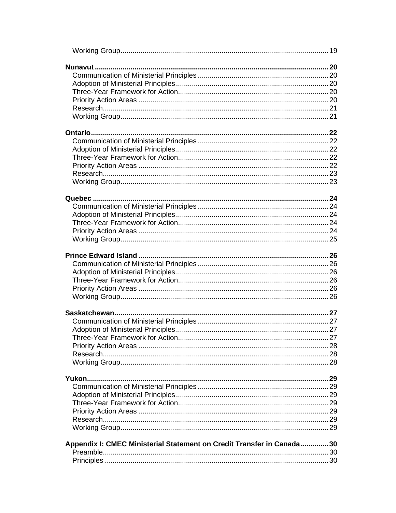| Appendix I: CMEC Ministerial Statement on Credit Transfer in Canada30 |  |
|-----------------------------------------------------------------------|--|
|                                                                       |  |
|                                                                       |  |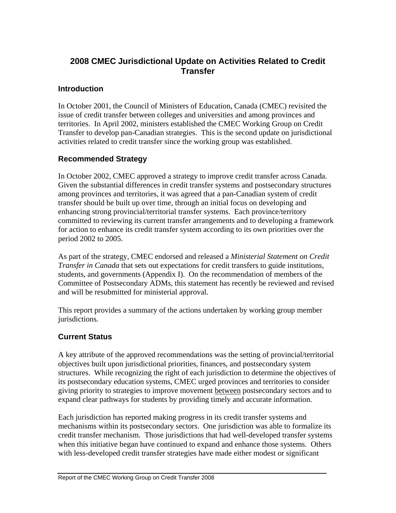# **2008 CMEC Jurisdictional Update on Activities Related to Credit Transfer**

#### **Introduction**

In October 2001, the Council of Ministers of Education, Canada (CMEC) revisited the issue of credit transfer between colleges and universities and among provinces and territories. In April 2002, ministers established the CMEC Working Group on Credit Transfer to develop pan-Canadian strategies. This is the second update on jurisdictional activities related to credit transfer since the working group was established.

### **Recommended Strategy**

In October 2002, CMEC approved a strategy to improve credit transfer across Canada. Given the substantial differences in credit transfer systems and postsecondary structures among provinces and territories, it was agreed that a pan-Canadian system of credit transfer should be built up over time, through an initial focus on developing and enhancing strong provincial/territorial transfer systems. Each province/territory committed to reviewing its current transfer arrangements and to developing a framework for action to enhance its credit transfer system according to its own priorities over the period 2002 to 2005.

As part of the strategy, CMEC endorsed and released a *Ministerial Statement on Credit Transfer in Canada* that sets out expectations for credit transfers to guide institutions, students, and governments (Appendix I). On the recommendation of members of the Committee of Postsecondary ADMs, this statement has recently be reviewed and revised and will be resubmitted for ministerial approval.

This report provides a summary of the actions undertaken by working group member jurisdictions.

### **Current Status**

A key attribute of the approved recommendations was the setting of provincial/territorial objectives built upon jurisdictional priorities, finances, and postsecondary system structures. While recognizing the right of each jurisdiction to determine the objectives of its postsecondary education systems, CMEC urged provinces and territories to consider giving priority to strategies to improve movement between postsecondary sectors and to expand clear pathways for students by providing timely and accurate information.

Each jurisdiction has reported making progress in its credit transfer systems and mechanisms within its postsecondary sectors. One jurisdiction was able to formalize its credit transfer mechanism. Those jurisdictions that had well-developed transfer systems when this initiative began have continued to expand and enhance those systems. Others with less-developed credit transfer strategies have made either modest or significant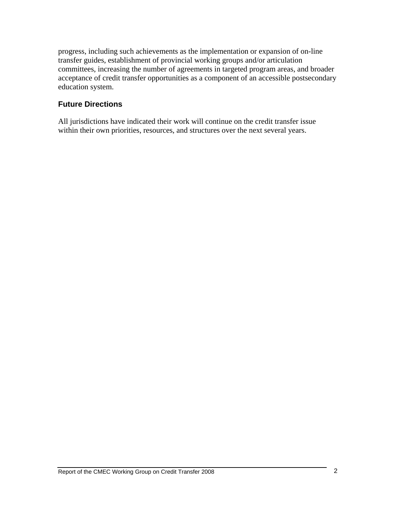progress, including such achievements as the implementation or expansion of on-line transfer guides, establishment of provincial working groups and/or articulation committees, increasing the number of agreements in targeted program areas, and broader acceptance of credit transfer opportunities as a component of an accessible postsecondary education system.

### **Future Directions**

All jurisdictions have indicated their work will continue on the credit transfer issue within their own priorities, resources, and structures over the next several years.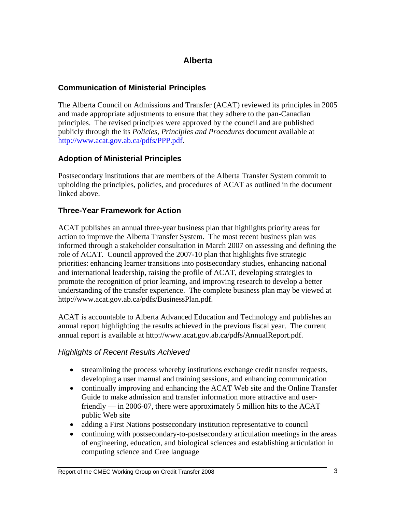# **Alberta**

### **Communication of Ministerial Principles**

The Alberta Council on Admissions and Transfer (ACAT) reviewed its principles in 2005 and made appropriate adjustments to ensure that they adhere to the pan-Canadian principles. The revised principles were approved by the council and are published publicly through the its *Policies, Principles and Procedures* document available at http://www.acat.gov.ab.ca/pdfs/PPP.pdf.

### **Adoption of Ministerial Principles**

Postsecondary institutions that are members of the Alberta Transfer System commit to upholding the principles, policies, and procedures of ACAT as outlined in the document linked above.

### **Three-Year Framework for Action**

ACAT publishes an annual three-year business plan that highlights priority areas for action to improve the Alberta Transfer System. The most recent business plan was informed through a stakeholder consultation in March 2007 on assessing and defining the role of ACAT. Council approved the 2007-10 plan that highlights five strategic priorities: enhancing learner transitions into postsecondary studies, enhancing national and international leadership, raising the profile of ACAT, developing strategies to promote the recognition of prior learning, and improving research to develop a better understanding of the transfer experience. The complete business plan may be viewed at http://www.acat.gov.ab.ca/pdfs/BusinessPlan.pdf.

ACAT is accountable to Alberta Advanced Education and Technology and publishes an annual report highlighting the results achieved in the previous fiscal year. The current annual report is available at http://www.acat.gov.ab.ca/pdfs/AnnualReport.pdf.

### *Highlights of Recent Results Achieved*

- streamlining the process whereby institutions exchange credit transfer requests, developing a user manual and training sessions, and enhancing communication
- continually improving and enhancing the ACAT Web site and the Online Transfer Guide to make admission and transfer information more attractive and userfriendly — in 2006-07, there were approximately 5 million hits to the ACAT public Web site
- adding a First Nations postsecondary institution representative to council
- continuing with postsecondary-to-postsecondary articulation meetings in the areas of engineering, education, and biological sciences and establishing articulation in computing science and Cree language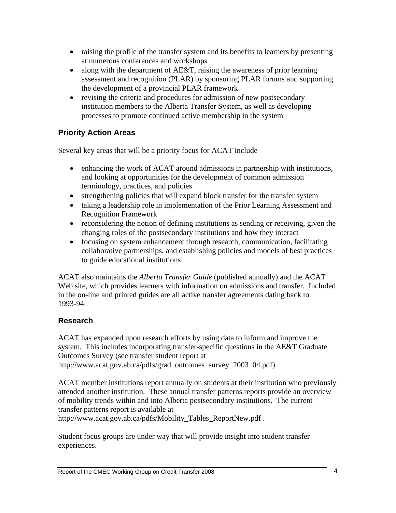- raising the profile of the transfer system and its benefits to learners by presenting at numerous conferences and workshops
- along with the department of AE&T, raising the awareness of prior learning assessment and recognition (PLAR) by sponsoring PLAR forums and supporting the development of a provincial PLAR framework
- revising the criteria and procedures for admission of new postsecondary institution members to the Alberta Transfer System, as well as developing processes to promote continued active membership in the system

# **Priority Action Areas**

Several key areas that will be a priority focus for ACAT include

- enhancing the work of ACAT around admissions in partnership with institutions, and looking at opportunities for the development of common admission terminology, practices, and policies
- strengthening policies that will expand block transfer for the transfer system
- taking a leadership role in implementation of the Prior Learning Assessment and Recognition Framework
- reconsidering the notion of defining institutions as sending or receiving, given the changing roles of the postsecondary institutions and how they interact
- focusing on system enhancement through research, communication, facilitating collaborative partnerships, and establishing policies and models of best practices to guide educational institutions

ACAT also maintains the *Alberta Transfer Guide* (published annually) and the ACAT Web site, which provides learners with information on admissions and transfer. Included in the on-line and printed guides are all active transfer agreements dating back to 1993-94.

# **Research**

ACAT has expanded upon research efforts by using data to inform and improve the system. This includes incorporating transfer-specific questions in the AE&T Graduate Outcomes Survey (see transfer student report at http://www.acat.gov.ab.ca/pdfs/grad\_outcomes\_survey\_2003\_04.pdf).

ACAT member institutions report annually on students at their institution who previously attended another institution. These annual transfer patterns reports provide an overview of mobility trends within and into Alberta postsecondary institutions. The current transfer patterns report is available at

http://www.acat.gov.ab.ca/pdfs/Mobility\_Tables\_ReportNew.pdf.

Student focus groups are under way that will provide insight into student transfer experiences.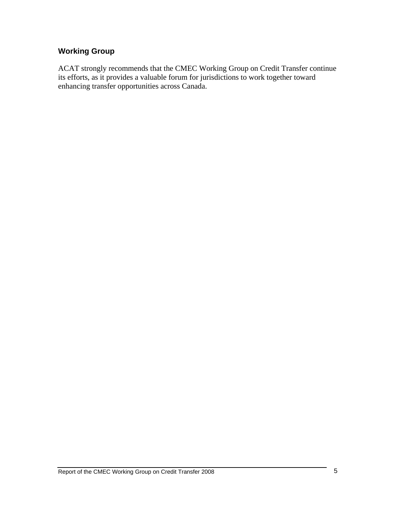### **Working Group**

ACAT strongly recommends that the CMEC Working Group on Credit Transfer continue its efforts, as it provides a valuable forum for jurisdictions to work together toward enhancing transfer opportunities across Canada.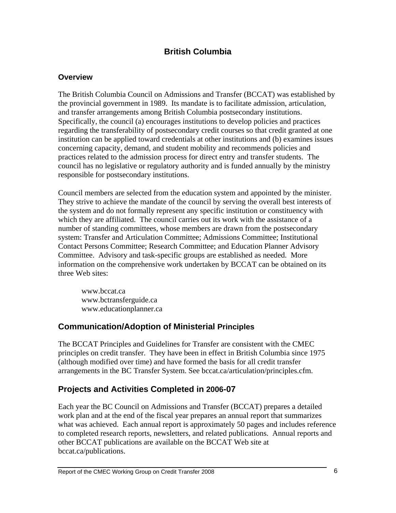# **British Columbia**

#### **Overview**

The British Columbia Council on Admissions and Transfer (BCCAT) was established by the provincial government in 1989. Its mandate is to facilitate admission, articulation, and transfer arrangements among British Columbia postsecondary institutions. Specifically, the council (a) encourages institutions to develop policies and practices regarding the transferability of postsecondary credit courses so that credit granted at one institution can be applied toward credentials at other institutions and (b) examines issues concerning capacity, demand, and student mobility and recommends policies and practices related to the admission process for direct entry and transfer students. The council has no legislative or regulatory authority and is funded annually by the ministry responsible for postsecondary institutions.

Council members are selected from the education system and appointed by the minister. They strive to achieve the mandate of the council by serving the overall best interests of the system and do not formally represent any specific institution or constituency with which they are affiliated. The council carries out its work with the assistance of a number of standing committees, whose members are drawn from the postsecondary system: Transfer and Articulation Committee; Admissions Committee; Institutional Contact Persons Committee; Research Committee; and Education Planner Advisory Committee. Advisory and task-specific groups are established as needed. More information on the comprehensive work undertaken by BCCAT can be obtained on its three Web sites:

www.bccat.ca www.bctransferguide.ca www.educationplanner.ca

### **Communication/Adoption of Ministerial Principles**

The BCCAT Principles and Guidelines for Transfer are consistent with the CMEC principles on credit transfer. They have been in effect in British Columbia since 1975 (although modified over time) and have formed the basis for all credit transfer arrangements in the BC Transfer System. See bccat.ca/articulation/principles.cfm.

### **Projects and Activities Completed in 2006-07**

Each year the BC Council on Admissions and Transfer (BCCAT) prepares a detailed work plan and at the end of the fiscal year prepares an annual report that summarizes what was achieved. Each annual report is approximately 50 pages and includes reference to completed research reports, newsletters, and related publications. Annual reports and other BCCAT publications are available on the BCCAT Web site at bccat.ca/publications.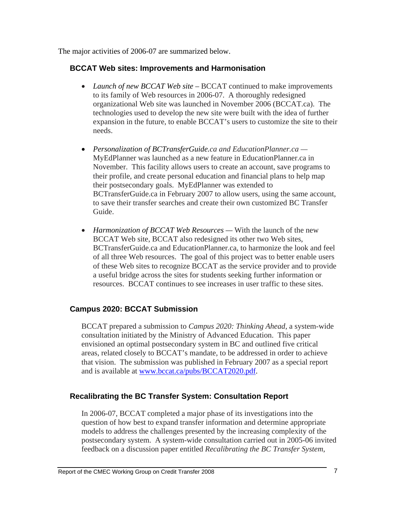The major activities of 2006-07 are summarized below.

#### **BCCAT Web sites: Improvements and Harmonisation**

- *Launch of new BCCAT Web site –* BCCAT continued to make improvements to its family of Web resources in 2006-07. A thoroughly redesigned organizational Web site was launched in November 2006 (BCCAT.ca). The technologies used to develop the new site were built with the idea of further expansion in the future, to enable BCCAT's users to customize the site to their needs.
- *Personalization of BCTransferGuide.ca and EducationPlanner.ca —* MyEdPlanner was launched as a new feature in EducationPlanner.ca in November. This facility allows users to create an account, save programs to their profile, and create personal education and financial plans to help map their postsecondary goals. MyEdPlanner was extended to BCTransferGuide.ca in February 2007 to allow users, using the same account, to save their transfer searches and create their own customized BC Transfer Guide.
- *Harmonization of BCCAT Web Resources* With the launch of the new BCCAT Web site, BCCAT also redesigned its other two Web sites, BCTransferGuide.ca and EducationPlanner.ca, to harmonize the look and feel of all three Web resources. The goal of this project was to better enable users of these Web sites to recognize BCCAT as the service provider and to provide a useful bridge across the sites for students seeking further information or resources. BCCAT continues to see increases in user traffic to these sites.

### **Campus 2020: BCCAT Submission**

BCCAT prepared a submission to *Campus 2020: Thinking Ahead*, a system-wide consultation initiated by the Ministry of Advanced Education. This paper envisioned an optimal postsecondary system in BC and outlined five critical areas, related closely to BCCAT's mandate, to be addressed in order to achieve that vision. The submission was published in February 2007 as a special report and is available at www.bccat.ca/pubs/BCCAT2020.pdf.

### **Recalibrating the BC Transfer System: Consultation Report**

In 2006-07, BCCAT completed a major phase of its investigations into the question of how best to expand transfer information and determine appropriate models to address the challenges presented by the increasing complexity of the postsecondary system. A system-wide consultation carried out in 2005-06 invited feedback on a discussion paper entitled *Recalibrating the BC Transfer System*,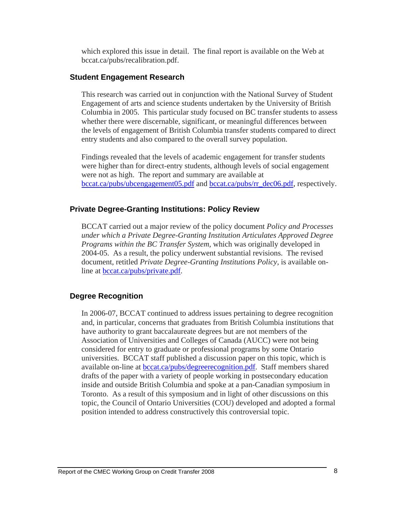which explored this issue in detail. The final report is available on the Web at bccat.ca/pubs/recalibration.pdf.

#### **Student Engagement Research**

This research was carried out in conjunction with the National Survey of Student Engagement of arts and science students undertaken by the University of British Columbia in 2005. This particular study focused on BC transfer students to assess whether there were discernable, significant, or meaningful differences between the levels of engagement of British Columbia transfer students compared to direct entry students and also compared to the overall survey population.

Findings revealed that the levels of academic engagement for transfer students were higher than for direct-entry students, although levels of social engagement were not as high. The report and summary are available at bccat.ca/pubs/ubcengagement05.pdf and bccat.ca/pubs/rr\_dec06.pdf, respectively.

#### **Private Degree-Granting Institutions: Policy Review**

BCCAT carried out a major review of the policy document *Policy and Processes under which a Private Degree-Granting Institution Articulates Approved Degree Programs within the BC Transfer System,* which was originally developed in 2004-05. As a result, the policy underwent substantial revisions. The revised document, retitled *Private Degree-Granting Institutions Policy,* is available online at bccat.ca/pubs/private.pdf.

### **Degree Recognition**

In 2006-07, BCCAT continued to address issues pertaining to degree recognition and, in particular, concerns that graduates from British Columbia institutions that have authority to grant baccalaureate degrees but are not members of the Association of Universities and Colleges of Canada (AUCC) were not being considered for entry to graduate or professional programs by some Ontario universities. BCCAT staff published a discussion paper on this topic, which is available on-line at bccat.ca/pubs/degreerecognition.pdf. Staff members shared drafts of the paper with a variety of people working in postsecondary education inside and outside British Columbia and spoke at a pan-Canadian symposium in Toronto. As a result of this symposium and in light of other discussions on this topic, the Council of Ontario Universities (COU) developed and adopted a formal position intended to address constructively this controversial topic.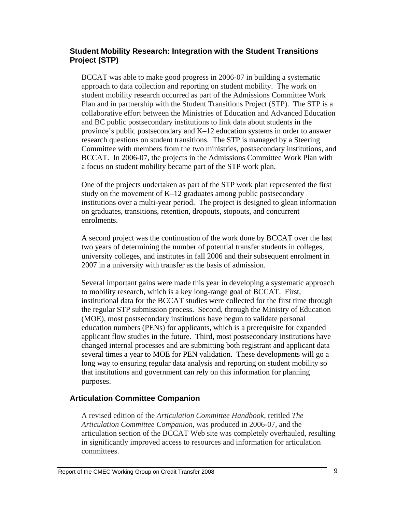#### **Student Mobility Research: Integration with the Student Transitions Project (STP)**

BCCAT was able to make good progress in 2006-07 in building a systematic approach to data collection and reporting on student mobility. The work on student mobility research occurred as part of the Admissions Committee Work Plan and in partnership with the Student Transitions Project (STP). The STP is a collaborative effort between the Ministries of Education and Advanced Education and BC public postsecondary institutions to link data about students in the province's public postsecondary and K–12 education systems in order to answer research questions on student transitions. The STP is managed by a Steering Committee with members from the two ministries, postsecondary institutions, and BCCAT. In 2006-07, the projects in the Admissions Committee Work Plan with a focus on student mobility became part of the STP work plan.

One of the projects undertaken as part of the STP work plan represented the first study on the movement of K–12 graduates among public postsecondary institutions over a multi-year period. The project is designed to glean information on graduates, transitions, retention, dropouts, stopouts, and concurrent enrolments.

A second project was the continuation of the work done by BCCAT over the last two years of determining the number of potential transfer students in colleges, university colleges, and institutes in fall 2006 and their subsequent enrolment in 2007 in a university with transfer as the basis of admission.

Several important gains were made this year in developing a systematic approach to mobility research, which is a key long-range goal of BCCAT. First, institutional data for the BCCAT studies were collected for the first time through the regular STP submission process. Second, through the Ministry of Education (MOE), most postsecondary institutions have begun to validate personal education numbers (PENs) for applicants, which is a prerequisite for expanded applicant flow studies in the future. Third, most postsecondary institutions have changed internal processes and are submitting both registrant and applicant data several times a year to MOE for PEN validation. These developments will go a long way to ensuring regular data analysis and reporting on student mobility so that institutions and government can rely on this information for planning purposes.

### **Articulation Committee Companion**

A revised edition of the *Articulation Committee Handbook*, retitled *The Articulation Committee Companion*, was produced in 2006-07, and the articulation section of the BCCAT Web site was completely overhauled, resulting in significantly improved access to resources and information for articulation committees.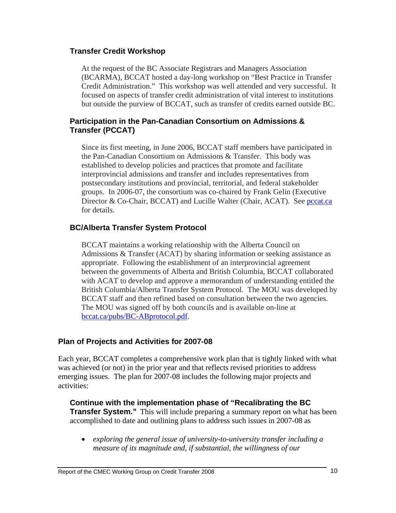#### **Transfer Credit Workshop**

At the request of the BC Associate Registrars and Managers Association (BCARMA), BCCAT hosted a day-long workshop on "Best Practice in Transfer Credit Administration." This workshop was well attended and very successful. It focused on aspects of transfer credit administration of vital interest to institutions but outside the purview of BCCAT, such as transfer of credits earned outside BC.

#### **Participation in the Pan-Canadian Consortium on Admissions & Transfer (PCCAT)**

Since its first meeting, in June 2006, BCCAT staff members have participated in the Pan-Canadian Consortium on Admissions & Transfer. This body was established to develop policies and practices that promote and facilitate interprovincial admissions and transfer and includes representatives from postsecondary institutions and provincial, territorial, and federal stakeholder groups. In 2006-07, the consortium was co-chaired by Frank Gelin (Executive Director & Co-Chair, BCCAT) and Lucille Walter (Chair, ACAT). See pccat.ca for details.

### **BC/Alberta Transfer System Protocol**

BCCAT maintains a working relationship with the Alberta Council on Admissions & Transfer (ACAT) by sharing information or seeking assistance as appropriate. Following the establishment of an interprovincial agreement between the governments of Alberta and British Columbia, BCCAT collaborated with ACAT to develop and approve a memorandum of understanding entitled the British Columbia/Alberta Transfer System Protocol. The MOU was developed by BCCAT staff and then refined based on consultation between the two agencies. The MOU was signed off by both councils and is available on-line at bccat.ca/pubs/BC-ABprotocol.pdf.

### **Plan of Projects and Activities for 2007-08**

Each year, BCCAT completes a comprehensive work plan that is tightly linked with what was achieved (or not) in the prior year and that reflects revised priorities to address emerging issues. The plan for 2007-08 includes the following major projects and activities:

**Continue with the implementation phase of "Recalibrating the BC Transfer System."** This will include preparing a summary report on what has been accomplished to date and outlining plans to address such issues in 2007-08 as

• *exploring the general issue of university-to-university transfer including a measure of its magnitude and, if substantial, the willingness of our*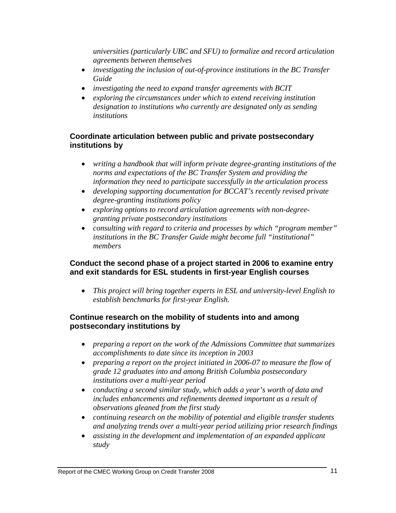*universities (particularly UBC and SFU) to formalize and record articulation agreements between themselves* 

- *investigating the inclusion of out-of-province institutions in the BC Transfer Guide*
- *investigating the need to expand transfer agreements with BCIT*
- *exploring the circumstances under which to extend receiving institution designation to institutions who currently are designated only as sending institutions*

### **Coordinate articulation between public and private postsecondary institutions by**

- *writing a handbook that will inform private degree-granting institutions of the norms and expectations of the BC Transfer System and providing the information they need to participate successfully in the articulation process*
- *developing supporting documentation for BCCAT's recently revised private degree-granting institutions policy*
- *exploring options to record articulation agreements with non-degreegranting private postsecondary institutions*
- *consulting with regard to criteria and processes by which "program member" institutions in the BC Transfer Guide might become full "institutional" members*

#### **Conduct the second phase of a project started in 2006 to examine entry and exit standards for ESL students in first-year English courses**

• *This project will bring together experts in ESL and university-level English to establish benchmarks for first-year English.*

### **Continue research on the mobility of students into and among postsecondary institutions by**

- *preparing a report on the work of the Admissions Committee that summarizes accomplishments to date since its inception in 2003*
- *preparing a report on the project initiated in 2006-07 to measure the flow of grade 12 graduates into and among British Columbia postsecondary institutions over a multi-year period*
- *conducting a second similar study, which adds a year's worth of data and includes enhancements and refinements deemed important as a result of observations gleaned from the first study*
- *continuing research on the mobility of potential and eligible transfer students and analyzing trends over a multi-year period utilizing prior research findings*
- *assisting in the development and implementation of an expanded applicant study*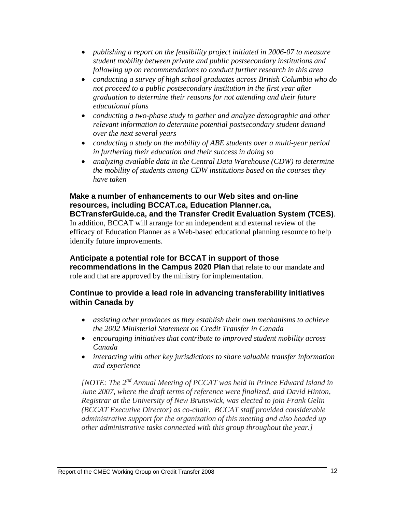- *publishing a report on the feasibility project initiated in 2006-07 to measure student mobility between private and public postsecondary institutions and following up on recommendations to conduct further research in this area*
- *conducting a survey of high school graduates across British Columbia who do not proceed to a public postsecondary institution in the first year after graduation to determine their reasons for not attending and their future educational plans*
- *conducting a two-phase study to gather and analyze demographic and other relevant information to determine potential postsecondary student demand over the next several years*
- *conducting a study on the mobility of ABE students over a multi-year period in furthering their education and their success in doing so*
- *analyzing available data in the Central Data Warehouse (CDW) to determine the mobility of students among CDW institutions based on the courses they have taken*

#### **Make a number of enhancements to our Web sites and on-line resources, including BCCAT.ca, Education Planner.ca, BCTransferGuide.ca, and the Transfer Credit Evaluation System (TCES)**.

In addition, BCCAT will arrange for an independent and external review of the efficacy of Education Planner as a Web-based educational planning resource to help identify future improvements.

### **Anticipate a potential role for BCCAT in support of those**

**recommendations in the Campus 2020 Plan** that relate to our mandate and role and that are approved by the ministry for implementation.

#### **Continue to provide a lead role in advancing transferability initiatives within Canada by**

- *assisting other provinces as they establish their own mechanisms to achieve the 2002 Ministerial Statement on Credit Transfer in Canada*
- *encouraging initiatives that contribute to improved student mobility across Canada*
- *interacting with other key jurisdictions to share valuable transfer information and experience*

*[NOTE: The 2nd Annual Meeting of PCCAT was held in Prince Edward Island in June 2007, where the draft terms of reference were finalized, and David Hinton, Registrar at the University of New Brunswick, was elected to join Frank Gelin (BCCAT Executive Director) as co-chair. BCCAT staff provided considerable administrative support for the organization of this meeting and also headed up other administrative tasks connected with this group throughout the year.]*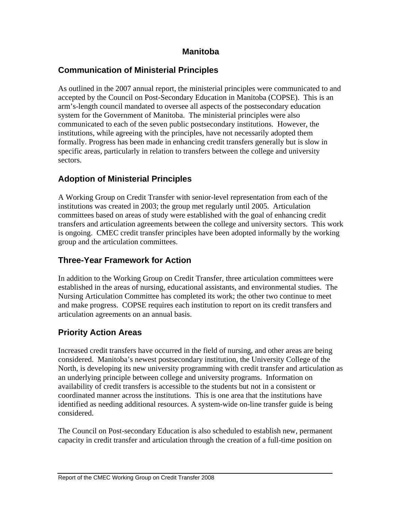### **Manitoba**

# **Communication of Ministerial Principles**

As outlined in the 2007 annual report, the ministerial principles were communicated to and accepted by the Council on Post-Secondary Education in Manitoba (COPSE). This is an arm's-length council mandated to oversee all aspects of the postsecondary education system for the Government of Manitoba. The ministerial principles were also communicated to each of the seven public postsecondary institutions. However, the institutions, while agreeing with the principles, have not necessarily adopted them formally. Progress has been made in enhancing credit transfers generally but is slow in specific areas, particularly in relation to transfers between the college and university sectors.

# **Adoption of Ministerial Principles**

A Working Group on Credit Transfer with senior-level representation from each of the institutions was created in 2003; the group met regularly until 2005. Articulation committees based on areas of study were established with the goal of enhancing credit transfers and articulation agreements between the college and university sectors. This work is ongoing. CMEC credit transfer principles have been adopted informally by the working group and the articulation committees.

# **Three-Year Framework for Action**

In addition to the Working Group on Credit Transfer, three articulation committees were established in the areas of nursing, educational assistants, and environmental studies. The Nursing Articulation Committee has completed its work; the other two continue to meet and make progress. COPSE requires each institution to report on its credit transfers and articulation agreements on an annual basis.

# **Priority Action Areas**

Increased credit transfers have occurred in the field of nursing, and other areas are being considered. Manitoba's newest postsecondary institution, the University College of the North, is developing its new university programming with credit transfer and articulation as an underlying principle between college and university programs. Information on availability of credit transfers is accessible to the students but not in a consistent or coordinated manner across the institutions. This is one area that the institutions have identified as needing additional resources. A system-wide on-line transfer guide is being considered.

The Council on Post-secondary Education is also scheduled to establish new, permanent capacity in credit transfer and articulation through the creation of a full-time position on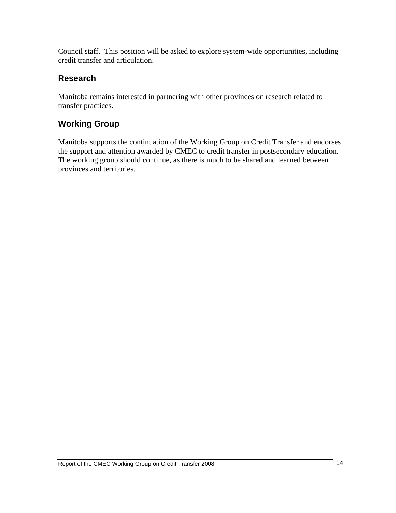Council staff. This position will be asked to explore system-wide opportunities, including credit transfer and articulation.

# **Research**

Manitoba remains interested in partnering with other provinces on research related to transfer practices.

# **Working Group**

Manitoba supports the continuation of the Working Group on Credit Transfer and endorses the support and attention awarded by CMEC to credit transfer in postsecondary education. The working group should continue, as there is much to be shared and learned between provinces and territories.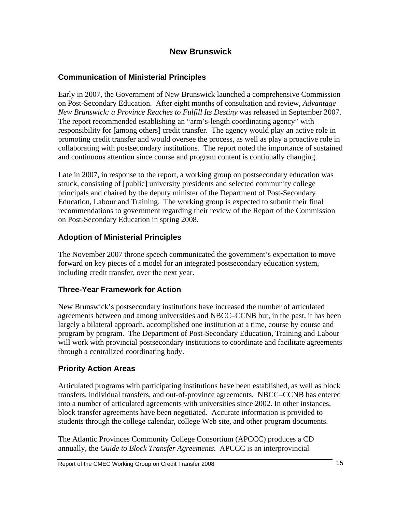### **New Brunswick**

### **Communication of Ministerial Principles**

Early in 2007, the Government of New Brunswick launched a comprehensive Commission on Post-Secondary Education. After eight months of consultation and review, *Advantage New Brunswick: a Province Reaches to Fulfill Its Destiny* was released in September 2007. The report recommended establishing an "arm's-length coordinating agency" with responsibility for [among others] credit transfer. The agency would play an active role in promoting credit transfer and would oversee the process, as well as play a proactive role in collaborating with postsecondary institutions. The report noted the importance of sustained and continuous attention since course and program content is continually changing.

Late in 2007, in response to the report, a working group on postsecondary education was struck, consisting of [public] university presidents and selected community college principals and chaired by the deputy minister of the Department of Post-Secondary Education, Labour and Training. The working group is expected to submit their final recommendations to government regarding their review of the Report of the Commission on Post-Secondary Education in spring 2008.

### **Adoption of Ministerial Principles**

The November 2007 throne speech communicated the government's expectation to move forward on key pieces of a model for an integrated postsecondary education system, including credit transfer, over the next year.

### **Three-Year Framework for Action**

New Brunswick's postsecondary institutions have increased the number of articulated agreements between and among universities and NBCC–CCNB but, in the past, it has been largely a bilateral approach, accomplished one institution at a time, course by course and program by program. The Department of Post-Secondary Education, Training and Labour will work with provincial postsecondary institutions to coordinate and facilitate agreements through a centralized coordinating body.

### **Priority Action Areas**

Articulated programs with participating institutions have been established, as well as block transfers, individual transfers, and out-of-province agreements. NBCC–CCNB has entered into a number of articulated agreements with universities since 2002. In other instances, block transfer agreements have been negotiated. Accurate information is provided to students through the college calendar, college Web site, and other program documents.

The Atlantic Provinces Community College Consortium (APCCC) produces a CD annually, the *Guide to Block Transfer Agreements*. APCCC is an interprovincial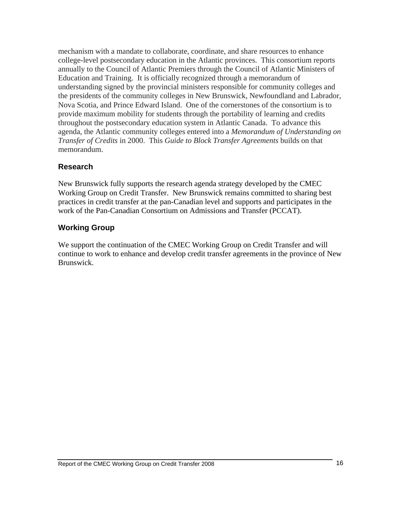mechanism with a mandate to collaborate, coordinate, and share resources to enhance college-level postsecondary education in the Atlantic provinces. This consortium reports annually to the Council of Atlantic Premiers through the Council of Atlantic Ministers of Education and Training. It is officially recognized through a memorandum of understanding signed by the provincial ministers responsible for community colleges and the presidents of the community colleges in New Brunswick, Newfoundland and Labrador, Nova Scotia, and Prince Edward Island. One of the cornerstones of the consortium is to provide maximum mobility for students through the portability of learning and credits throughout the postsecondary education system in Atlantic Canada. To advance this agenda, the Atlantic community colleges entered into a *Memorandum of Understanding on Transfer of Credits* in 2000. This *Guide to Block Transfer Agreements* builds on that memorandum.

### **Research**

New Brunswick fully supports the research agenda strategy developed by the CMEC Working Group on Credit Transfer. New Brunswick remains committed to sharing best practices in credit transfer at the pan-Canadian level and supports and participates in the work of the Pan-Canadian Consortium on Admissions and Transfer (PCCAT).

### **Working Group**

We support the continuation of the CMEC Working Group on Credit Transfer and will continue to work to enhance and develop credit transfer agreements in the province of New Brunswick.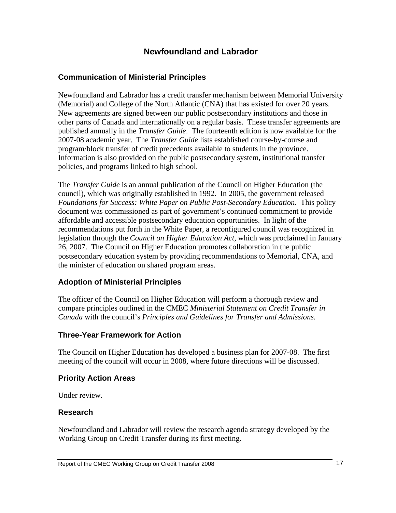### **Newfoundland and Labrador**

### **Communication of Ministerial Principles**

Newfoundland and Labrador has a credit transfer mechanism between Memorial University (Memorial) and College of the North Atlantic (CNA) that has existed for over 20 years. New agreements are signed between our public postsecondary institutions and those in other parts of Canada and internationally on a regular basis. These transfer agreements are published annually in the *Transfer Guide*. The fourteenth edition is now available for the 2007-08 academic year. The *Transfer Guide* lists established course-by-course and program/block transfer of credit precedents available to students in the province. Information is also provided on the public postsecondary system, institutional transfer policies, and programs linked to high school.

The *Transfer Guide* is an annual publication of the Council on Higher Education (the council), which was originally established in 1992. In 2005, the government released *Foundations for Success: White Paper on Public Post-Secondary Education*. This policy document was commissioned as part of government's continued commitment to provide affordable and accessible postsecondary education opportunities. In light of the recommendations put forth in the White Paper, a reconfigured council was recognized in legislation through the *Council on Higher Education Act*, which was proclaimed in January 26, 2007. The Council on Higher Education promotes collaboration in the public postsecondary education system by providing recommendations to Memorial, CNA, and the minister of education on shared program areas.

### **Adoption of Ministerial Principles**

The officer of the Council on Higher Education will perform a thorough review and compare principles outlined in the CMEC *Ministerial Statement on Credit Transfer in Canada* with the council's *Principles and Guidelines for Transfer and Admissions*.

### **Three-Year Framework for Action**

The Council on Higher Education has developed a business plan for 2007-08. The first meeting of the council will occur in 2008, where future directions will be discussed.

### **Priority Action Areas**

Under review.

### **Research**

Newfoundland and Labrador will review the research agenda strategy developed by the Working Group on Credit Transfer during its first meeting.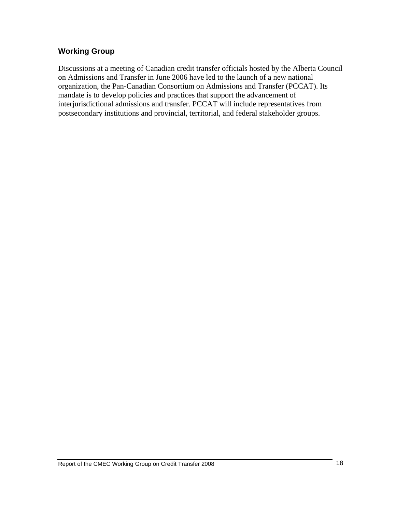### **Working Group**

Discussions at a meeting of Canadian credit transfer officials hosted by the Alberta Council on Admissions and Transfer in June 2006 have led to the launch of a new national organization, the Pan-Canadian Consortium on Admissions and Transfer (PCCAT). Its mandate is to develop policies and practices that support the advancement of interjurisdictional admissions and transfer. PCCAT will include representatives from postsecondary institutions and provincial, territorial, and federal stakeholder groups.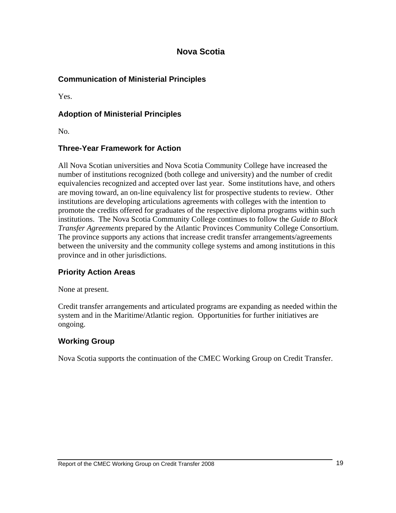### **Nova Scotia**

### **Communication of Ministerial Principles**

Yes.

### **Adoption of Ministerial Principles**

No.

### **Three-Year Framework for Action**

All Nova Scotian universities and Nova Scotia Community College have increased the number of institutions recognized (both college and university) and the number of credit equivalencies recognized and accepted over last year. Some institutions have, and others are moving toward, an on-line equivalency list for prospective students to review. Other institutions are developing articulations agreements with colleges with the intention to promote the credits offered for graduates of the respective diploma programs within such institutions. The Nova Scotia Community College continues to follow the *Guide to Block Transfer Agreements* prepared by the Atlantic Provinces Community College Consortium. The province supports any actions that increase credit transfer arrangements/agreements between the university and the community college systems and among institutions in this province and in other jurisdictions.

### **Priority Action Areas**

None at present.

Credit transfer arrangements and articulated programs are expanding as needed within the system and in the Maritime/Atlantic region. Opportunities for further initiatives are ongoing.

### **Working Group**

Nova Scotia supports the continuation of the CMEC Working Group on Credit Transfer.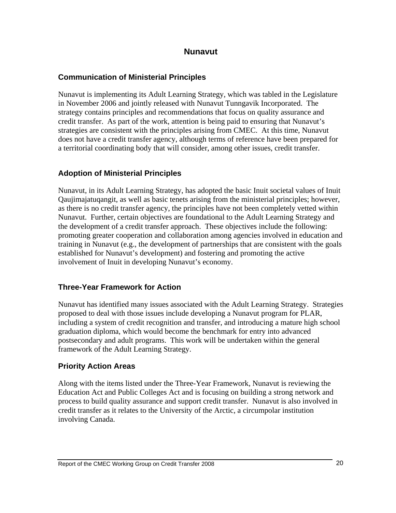### **Nunavut**

### **Communication of Ministerial Principles**

Nunavut is implementing its Adult Learning Strategy, which was tabled in the Legislature in November 2006 and jointly released with Nunavut Tunngavik Incorporated. The strategy contains principles and recommendations that focus on quality assurance and credit transfer. As part of the work, attention is being paid to ensuring that Nunavut's strategies are consistent with the principles arising from CMEC. At this time, Nunavut does not have a credit transfer agency, although terms of reference have been prepared for a territorial coordinating body that will consider, among other issues, credit transfer.

### **Adoption of Ministerial Principles**

Nunavut, in its Adult Learning Strategy, has adopted the basic Inuit societal values of Inuit Qaujimajatuqangit, as well as basic tenets arising from the ministerial principles; however, as there is no credit transfer agency, the principles have not been completely vetted within Nunavut. Further, certain objectives are foundational to the Adult Learning Strategy and the development of a credit transfer approach. These objectives include the following: promoting greater cooperation and collaboration among agencies involved in education and training in Nunavut (e.g., the development of partnerships that are consistent with the goals established for Nunavut's development) and fostering and promoting the active involvement of Inuit in developing Nunavut's economy.

### **Three-Year Framework for Action**

Nunavut has identified many issues associated with the Adult Learning Strategy. Strategies proposed to deal with those issues include developing a Nunavut program for PLAR, including a system of credit recognition and transfer, and introducing a mature high school graduation diploma, which would become the benchmark for entry into advanced postsecondary and adult programs. This work will be undertaken within the general framework of the Adult Learning Strategy.

### **Priority Action Areas**

Along with the items listed under the Three-Year Framework, Nunavut is reviewing the Education Act and Public Colleges Act and is focusing on building a strong network and process to build quality assurance and support credit transfer. Nunavut is also involved in credit transfer as it relates to the University of the Arctic, a circumpolar institution involving Canada.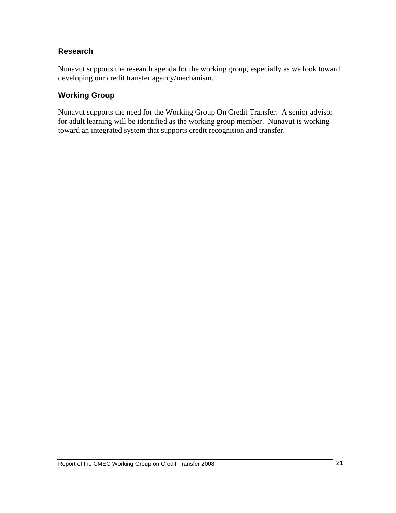### **Research**

Nunavut supports the research agenda for the working group, especially as we look toward developing our credit transfer agency/mechanism.

#### **Working Group**

Nunavut supports the need for the Working Group On Credit Transfer. A senior advisor for adult learning will be identified as the working group member. Nunavut is working toward an integrated system that supports credit recognition and transfer.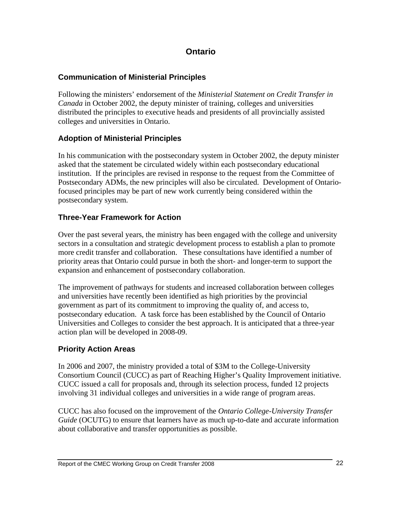### **Ontario**

### **Communication of Ministerial Principles**

Following the ministers' endorsement of the *Ministerial Statement on Credit Transfer in Canada* in October 2002, the deputy minister of training, colleges and universities distributed the principles to executive heads and presidents of all provincially assisted colleges and universities in Ontario.

### **Adoption of Ministerial Principles**

In his communication with the postsecondary system in October 2002, the deputy minister asked that the statement be circulated widely within each postsecondary educational institution. If the principles are revised in response to the request from the Committee of Postsecondary ADMs, the new principles will also be circulated. Development of Ontariofocused principles may be part of new work currently being considered within the postsecondary system.

### **Three-Year Framework for Action**

Over the past several years, the ministry has been engaged with the college and university sectors in a consultation and strategic development process to establish a plan to promote more credit transfer and collaboration. These consultations have identified a number of priority areas that Ontario could pursue in both the short- and longer-term to support the expansion and enhancement of postsecondary collaboration.

The improvement of pathways for students and increased collaboration between colleges and universities have recently been identified as high priorities by the provincial government as part of its commitment to improving the quality of, and access to, postsecondary education. A task force has been established by the Council of Ontario Universities and Colleges to consider the best approach. It is anticipated that a three-year action plan will be developed in 2008-09.

### **Priority Action Areas**

In 2006 and 2007, the ministry provided a total of \$3M to the College-University Consortium Council (CUCC) as part of Reaching Higher's Quality Improvement initiative. CUCC issued a call for proposals and, through its selection process, funded 12 projects involving 31 individual colleges and universities in a wide range of program areas.

CUCC has also focused on the improvement of the *Ontario College-University Transfer Guide* (OCUTG) to ensure that learners have as much up-to-date and accurate information about collaborative and transfer opportunities as possible.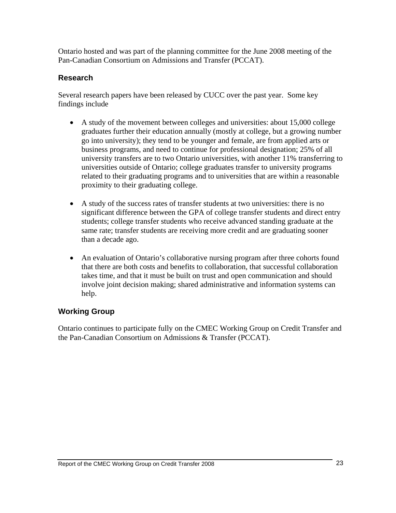Ontario hosted and was part of the planning committee for the June 2008 meeting of the Pan-Canadian Consortium on Admissions and Transfer (PCCAT).

### **Research**

Several research papers have been released by CUCC over the past year. Some key findings include

- A study of the movement between colleges and universities: about 15,000 college graduates further their education annually (mostly at college, but a growing number go into university); they tend to be younger and female, are from applied arts or business programs, and need to continue for professional designation; 25% of all university transfers are to two Ontario universities, with another 11% transferring to universities outside of Ontario; college graduates transfer to university programs related to their graduating programs and to universities that are within a reasonable proximity to their graduating college.
- A study of the success rates of transfer students at two universities: there is no significant difference between the GPA of college transfer students and direct entry students; college transfer students who receive advanced standing graduate at the same rate; transfer students are receiving more credit and are graduating sooner than a decade ago.
- An evaluation of Ontario's collaborative nursing program after three cohorts found that there are both costs and benefits to collaboration, that successful collaboration takes time, and that it must be built on trust and open communication and should involve joint decision making; shared administrative and information systems can help.

### **Working Group**

Ontario continues to participate fully on the CMEC Working Group on Credit Transfer and the Pan-Canadian Consortium on Admissions & Transfer (PCCAT).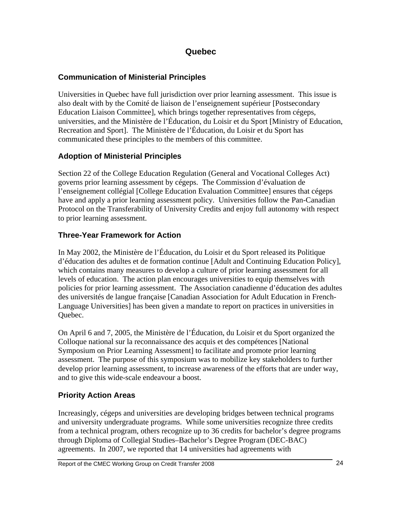### **Quebec**

### **Communication of Ministerial Principles**

Universities in Quebec have full jurisdiction over prior learning assessment. This issue is also dealt with by the Comité de liaison de l'enseignement supérieur [Postsecondary Education Liaison Committee], which brings together representatives from cégeps, universities, and the Ministère de l'Éducation, du Loisir et du Sport [Ministry of Education, Recreation and Sport]. The Ministère de l'Éducation, du Loisir et du Sport has communicated these principles to the members of this committee.

### **Adoption of Ministerial Principles**

Section 22 of the College Education Regulation (General and Vocational Colleges Act) governs prior learning assessment by cégeps. The Commission d'évaluation de l'enseignement collégial [College Education Evaluation Committee] ensures that cégeps have and apply a prior learning assessment policy. Universities follow the Pan-Canadian Protocol on the Transferability of University Credits and enjoy full autonomy with respect to prior learning assessment.

### **Three-Year Framework for Action**

In May 2002, the Ministère de l'Éducation, du Loisir et du Sport released its Politique d'éducation des adultes et de formation continue [Adult and Continuing Education Policy], which contains many measures to develop a culture of prior learning assessment for all levels of education. The action plan encourages universities to equip themselves with policies for prior learning assessment. The Association canadienne d'éducation des adultes des universités de langue française [Canadian Association for Adult Education in French-Language Universities] has been given a mandate to report on practices in universities in Quebec.

On April 6 and 7, 2005, the Ministère de l'Éducation, du Loisir et du Sport organized the Colloque national sur la reconnaissance des acquis et des compétences [National Symposium on Prior Learning Assessment] to facilitate and promote prior learning assessment. The purpose of this symposium was to mobilize key stakeholders to further develop prior learning assessment, to increase awareness of the efforts that are under way, and to give this wide-scale endeavour a boost.

# **Priority Action Areas**

Increasingly, cégeps and universities are developing bridges between technical programs and university undergraduate programs. While some universities recognize three credits from a technical program, others recognize up to 36 credits for bachelor's degree programs through Diploma of Collegial Studies–Bachelor's Degree Program (DEC-BAC) agreements. In 2007, we reported that 14 universities had agreements with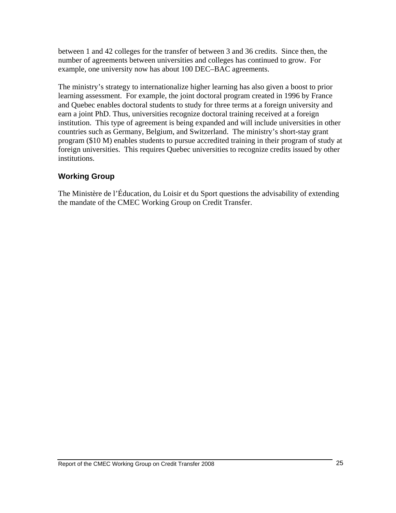between 1 and 42 colleges for the transfer of between 3 and 36 credits. Since then, the number of agreements between universities and colleges has continued to grow. For example, one university now has about 100 DEC–BAC agreements.

The ministry's strategy to internationalize higher learning has also given a boost to prior learning assessment. For example, the joint doctoral program created in 1996 by France and Quebec enables doctoral students to study for three terms at a foreign university and earn a joint PhD. Thus, universities recognize doctoral training received at a foreign institution. This type of agreement is being expanded and will include universities in other countries such as Germany, Belgium, and Switzerland. The ministry's short-stay grant program (\$10 M) enables students to pursue accredited training in their program of study at foreign universities. This requires Quebec universities to recognize credits issued by other institutions.

### **Working Group**

The Ministère de l'Éducation, du Loisir et du Sport questions the advisability of extending the mandate of the CMEC Working Group on Credit Transfer.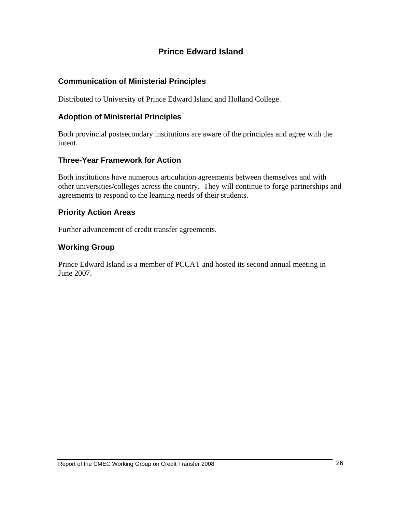# **Prince Edward Island**

### **Communication of Ministerial Principles**

Distributed to University of Prince Edward Island and Holland College.

### **Adoption of Ministerial Principles**

Both provincial postsecondary institutions are aware of the principles and agree with the intent.

### **Three-Year Framework for Action**

Both institutions have numerous articulation agreements between themselves and with other universities/colleges across the country. They will continue to forge partnerships and agreements to respond to the learning needs of their students.

#### **Priority Action Areas**

Further advancement of credit transfer agreements.

### **Working Group**

Prince Edward Island is a member of PCCAT and hosted its second annual meeting in June 2007.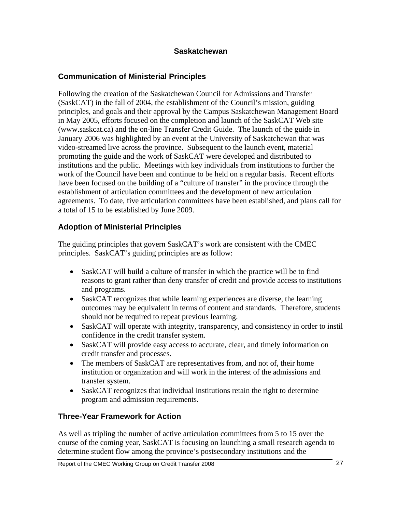### **Saskatchewan**

### **Communication of Ministerial Principles**

Following the creation of the Saskatchewan Council for Admissions and Transfer (SaskCAT) in the fall of 2004, the establishment of the Council's mission, guiding principles, and goals and their approval by the Campus Saskatchewan Management Board in May 2005, efforts focused on the completion and launch of the SaskCAT Web site (www.saskcat.ca) and the on-line Transfer Credit Guide. The launch of the guide in January 2006 was highlighted by an event at the University of Saskatchewan that was video-streamed live across the province. Subsequent to the launch event, material promoting the guide and the work of SaskCAT were developed and distributed to institutions and the public. Meetings with key individuals from institutions to further the work of the Council have been and continue to be held on a regular basis. Recent efforts have been focused on the building of a "culture of transfer" in the province through the establishment of articulation committees and the development of new articulation agreements. To date, five articulation committees have been established, and plans call for a total of 15 to be established by June 2009.

### **Adoption of Ministerial Principles**

The guiding principles that govern SaskCAT's work are consistent with the CMEC principles. SaskCAT's guiding principles are as follow:

- SaskCAT will build a culture of transfer in which the practice will be to find reasons to grant rather than deny transfer of credit and provide access to institutions and programs.
- SaskCAT recognizes that while learning experiences are diverse, the learning outcomes may be equivalent in terms of content and standards. Therefore, students should not be required to repeat previous learning.
- SaskCAT will operate with integrity, transparency, and consistency in order to instil confidence in the credit transfer system.
- SaskCAT will provide easy access to accurate, clear, and timely information on credit transfer and processes.
- The members of SaskCAT are representatives from, and not of, their home institution or organization and will work in the interest of the admissions and transfer system.
- SaskCAT recognizes that individual institutions retain the right to determine program and admission requirements.

### **Three-Year Framework for Action**

As well as tripling the number of active articulation committees from 5 to 15 over the course of the coming year, SaskCAT is focusing on launching a small research agenda to determine student flow among the province's postsecondary institutions and the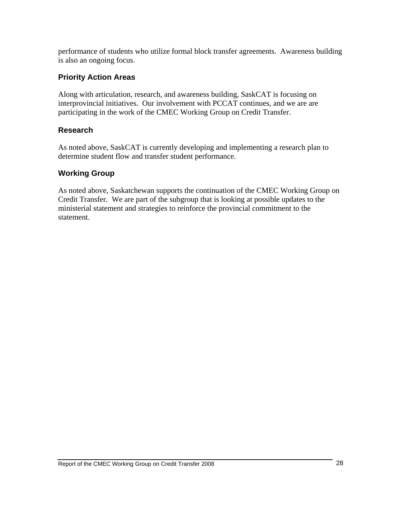performance of students who utilize formal block transfer agreements. Awareness building is also an ongoing focus.

### **Priority Action Areas**

Along with articulation, research, and awareness building, SaskCAT is focusing on interprovincial initiatives. Our involvement with PCCAT continues, and we are are participating in the work of the CMEC Working Group on Credit Transfer.

#### **Research**

As noted above, SaskCAT is currently developing and implementing a research plan to determine student flow and transfer student performance.

### **Working Group**

As noted above, Saskatchewan supports the continuation of the CMEC Working Group on Credit Transfer. We are part of the subgroup that is looking at possible updates to the ministerial statement and strategies to reinforce the provincial commitment to the statement.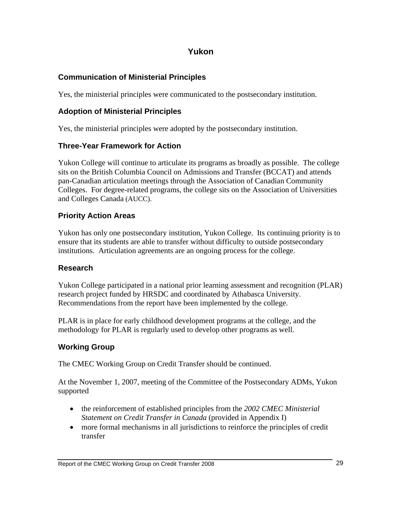### **Yukon**

### **Communication of Ministerial Principles**

Yes, the ministerial principles were communicated to the postsecondary institution.

### **Adoption of Ministerial Principles**

Yes, the ministerial principles were adopted by the postsecondary institution.

### **Three-Year Framework for Action**

Yukon College will continue to articulate its programs as broadly as possible. The college sits on the British Columbia Council on Admissions and Transfer (BCCAT) and attends pan-Canadian articulation meetings through the Association of Canadian Community Colleges. For degree-related programs, the college sits on the Association of Universities and Colleges Canada (AUCC).

### **Priority Action Areas**

Yukon has only one postsecondary institution, Yukon College. Its continuing priority is to ensure that its students are able to transfer without difficulty to outside postsecondary institutions. Articulation agreements are an ongoing process for the college.

### **Research**

Yukon College participated in a national prior learning assessment and recognition (PLAR) research project funded by HRSDC and coordinated by Athabasca University. Recommendations from the report have been implemented by the college.

PLAR is in place for early childhood development programs at the college, and the methodology for PLAR is regularly used to develop other programs as well.

### **Working Group**

The CMEC Working Group on Credit Transfer should be continued.

At the November 1, 2007, meeting of the Committee of the Postsecondary ADMs, Yukon supported

- the reinforcement of established principles from the *2002 CMEC Ministerial Statement on Credit Transfer in Canada* (provided in Appendix I)
- more formal mechanisms in all jurisdictions to reinforce the principles of credit transfer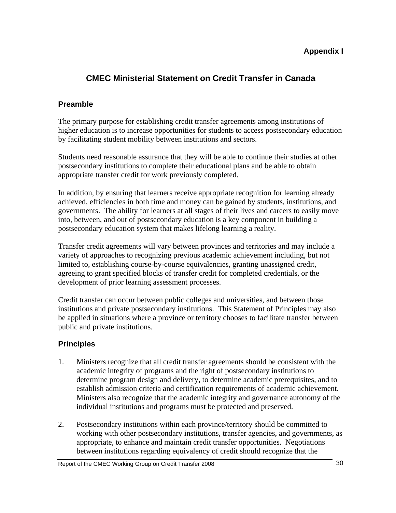### **Appendix I**

# **CMEC Ministerial Statement on Credit Transfer in Canada**

### **Preamble**

The primary purpose for establishing credit transfer agreements among institutions of higher education is to increase opportunities for students to access postsecondary education by facilitating student mobility between institutions and sectors.

Students need reasonable assurance that they will be able to continue their studies at other postsecondary institutions to complete their educational plans and be able to obtain appropriate transfer credit for work previously completed.

In addition, by ensuring that learners receive appropriate recognition for learning already achieved, efficiencies in both time and money can be gained by students, institutions, and governments. The ability for learners at all stages of their lives and careers to easily move into, between, and out of postsecondary education is a key component in building a postsecondary education system that makes lifelong learning a reality.

Transfer credit agreements will vary between provinces and territories and may include a variety of approaches to recognizing previous academic achievement including, but not limited to, establishing course-by-course equivalencies, granting unassigned credit, agreeing to grant specified blocks of transfer credit for completed credentials, or the development of prior learning assessment processes.

Credit transfer can occur between public colleges and universities, and between those institutions and private postsecondary institutions. This Statement of Principles may also be applied in situations where a province or territory chooses to facilitate transfer between public and private institutions.

### **Principles**

- 1. Ministers recognize that all credit transfer agreements should be consistent with the academic integrity of programs and the right of postsecondary institutions to determine program design and delivery, to determine academic prerequisites, and to establish admission criteria and certification requirements of academic achievement. Ministers also recognize that the academic integrity and governance autonomy of the individual institutions and programs must be protected and preserved.
- 2. Postsecondary institutions within each province/territory should be committed to working with other postsecondary institutions, transfer agencies, and governments, as appropriate, to enhance and maintain credit transfer opportunities. Negotiations between institutions regarding equivalency of credit should recognize that the